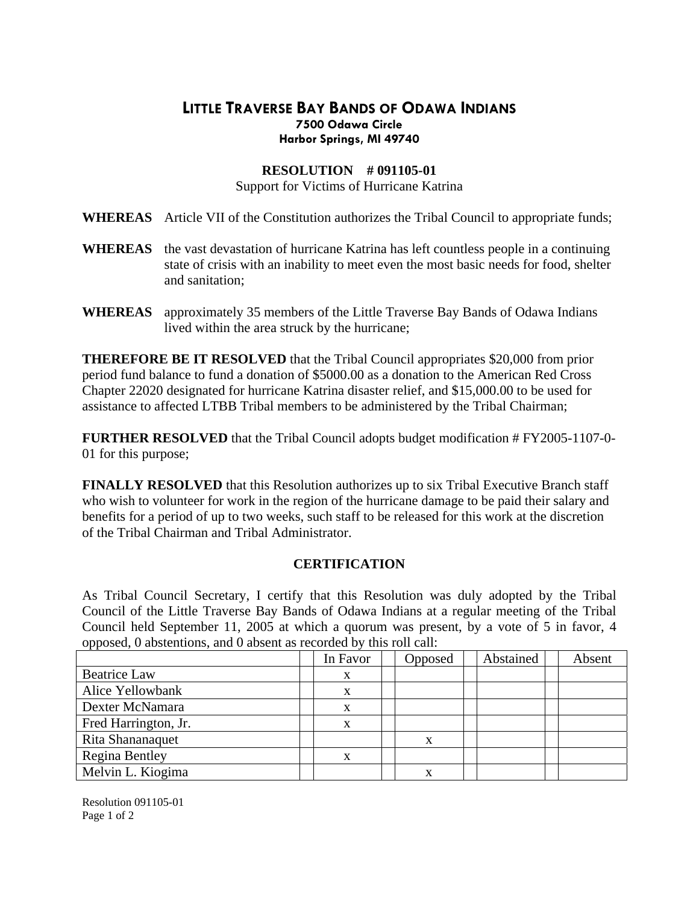## **LITTLE TRAVERSE BAY BANDS OF ODAWA INDIANS Harbor Springs, MI 49740 7500 Odawa Circle**

## **RESOLUTION # 091105-01**

Support for Victims of Hurricane Katrina

- **HEREAS** Article VII of the Constitution authorizes the Tribal Council to appropriate funds; **W**
- WHEREAS the vast devastation of hurricane Katrina has left countless people in a continuing state of crisis with an inability to meet even the most basic needs for food, shelter and sanitation;
- **WHEREAS** approximately 35 members of the Little Traverse Bay Bands of Odawa Indians lived within the area struck by the hurricane;

Chapter 22020 designated for hurricane Katrina disaster relief, and \$15,000.00 to be used for assistance to affected LTBB Tribal members to be administered by the Tribal Chairman; **THEREFORE BE IT RESOLVED** that the Tribal Council appropriates \$20,000 from prior period fund balance to fund a donation of \$5000.00 as a donation to the American Red Cross

FURTHER RESOLVED that the Tribal Council adopts budget modification # FY2005-1107-0-01 for this purpose;

benefits for a period of up to two weeks, such staff to be released for this work at the discretion of the Tribal Chairman and Tribal Administrator. **FINALLY RESOLVED** that this Resolution authorizes up to six Tribal Executive Branch staff who wish to volunteer for work in the region of the hurricane damage to be paid their salary and

## **CERTIFICATION**

Council held September 11, 2005 at which a quorum was present, by a vote of 5 in favor, 4 opposed, 0 abstentions, and 0 absent as recorded by this roll call: As Tribal Council Secretary, I certify that this Resolution was duly adopted by the Tribal Council of the Little Traverse Bay Bands of Odawa Indians at a regular meeting of the Tribal

|                       | In Favor | Opposed | Abstained | Absent |
|-----------------------|----------|---------|-----------|--------|
| <b>Beatrice Law</b>   |          |         |           |        |
| Alice Yellowbank      | X        |         |           |        |
| Dexter McNamara       | X        |         |           |        |
| Fred Harrington, Jr.  |          |         |           |        |
| Rita Shananaquet      |          | X       |           |        |
| <b>Regina Bentley</b> |          |         |           |        |
| Melvin L. Kiogima     |          | X       |           |        |

Resolution 091105-01 Page 1 of 2